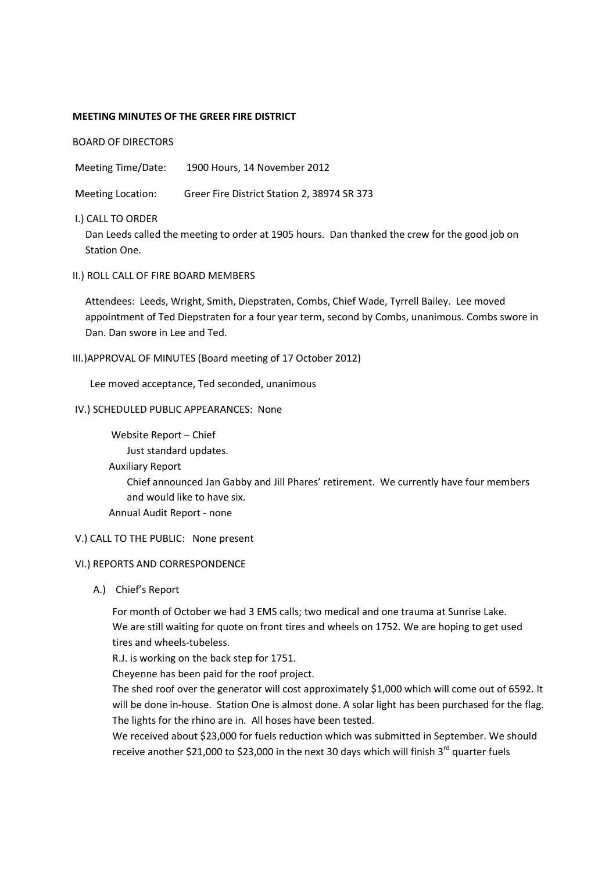## **MEETING MINUTES OF THE GREER FIRE DISTRICT**

BOARD OF DIRECTORS

Meeting Time/Date: 1900 Hours, 14 November 2012

Meeting Location: Greer Fire District Station 2, 38974 SR 373

# I.) CALL TO ORDER

Dan Leeds called the meeting to order at 1905 hours. Dan thanked the crew for the good job on Station One.

II.) ROLL CALL OF FIRE BOARD MEMBERS

Attendees: Leeds, Wright, Smith, Diepstraten, Combs, Chief Wade, Tyrrell Bailey. Lee moved appointment of Ted Diepstraten for a four year term, second by Combs, unanimous. Combs swore in Dan. Dan swore in Lee and Ted.

# III.)APPROVAL OF MINUTES (Board meeting of 17 October 2012)

Lee moved acceptance, Ted seconded, unanimous

# IV.) SCHEDULED PUBLIC APPEARANCES: None

Website Report – Chief Just standard updates. Auxiliary Report Chief announced Jan Gabby and Jill Phares' retirement. We currently have four members and would like to have six. Annual Audit Report - none

## V.) CALL TO THE PUBLIC: None present

## VI.) REPORTS AND CORRESPONDENCE

A.) Chief's Report

For month of October we had 3 EMS calls; two medical and one trauma at Sunrise Lake. We are still waiting for quote on front tires and wheels on 1752. We are hoping to get used tires and wheels-tubeless.

R.J. is working on the back step for 1751.

Cheyenne has been paid for the roof project.

The shed roof over the generator will cost approximately \$1,000 which will come out of 6592. It will be done in-house. Station One is almost done. A solar light has been purchased for the flag. The lights for the rhino are in. All hoses have been tested.

We received about \$23,000 for fuels reduction which was submitted in September. We should receive another \$21,000 to \$23,000 in the next 30 days which will finish  $3^{rd}$  quarter fuels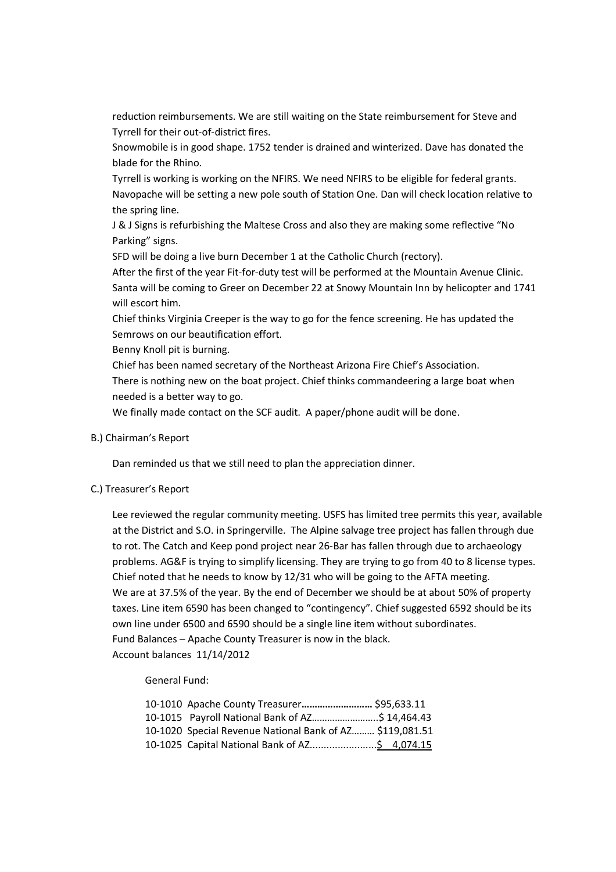reduction reimbursements. We are still waiting on the State reimbursement for Steve and Tyrrell for their out-of-district fires.

Snowmobile is in good shape. 1752 tender is drained and winterized. Dave has donated the blade for the Rhino.

Tyrrell is working is working on the NFIRS. We need NFIRS to be eligible for federal grants. Navopache will be setting a new pole south of Station One. Dan will check location relative to the spring line.

J & J Signs is refurbishing the Maltese Cross and also they are making some reflective "No Parking" signs.

SFD will be doing a live burn December 1 at the Catholic Church (rectory).

After the first of the year Fit-for-duty test will be performed at the Mountain Avenue Clinic. Santa will be coming to Greer on December 22 at Snowy Mountain Inn by helicopter and 1741 will escort him.

Chief thinks Virginia Creeper is the way to go for the fence screening. He has updated the Semrows on our beautification effort.

Benny Knoll pit is burning.

Chief has been named secretary of the Northeast Arizona Fire Chief's Association.

There is nothing new on the boat project. Chief thinks commandeering a large boat when needed is a better way to go.

We finally made contact on the SCF audit. A paper/phone audit will be done.

## B.) Chairman's Report

Dan reminded us that we still need to plan the appreciation dinner.

# C.) Treasurer's Report

Lee reviewed the regular community meeting. USFS has limited tree permits this year, available at the District and S.O. in Springerville. The Alpine salvage tree project has fallen through due to rot. The Catch and Keep pond project near 26-Bar has fallen through due to archaeology problems. AG&F is trying to simplify licensing. They are trying to go from 40 to 8 license types. Chief noted that he needs to know by 12/31 who will be going to the AFTA meeting. We are at 37.5% of the year. By the end of December we should be at about 50% of property taxes. Line item 6590 has been changed to "contingency". Chief suggested 6592 should be its own line under 6500 and 6590 should be a single line item without subordinates. Fund Balances – Apache County Treasurer is now in the black. Account balances 11/14/2012

General Fund:

| 10-1010 Apache County Treasurer \$95,633.11              |  |
|----------------------------------------------------------|--|
| 10-1015 Payroll National Bank of AZ\$ 14,464.43          |  |
| 10-1020 Special Revenue National Bank of AZ \$119,081.51 |  |
|                                                          |  |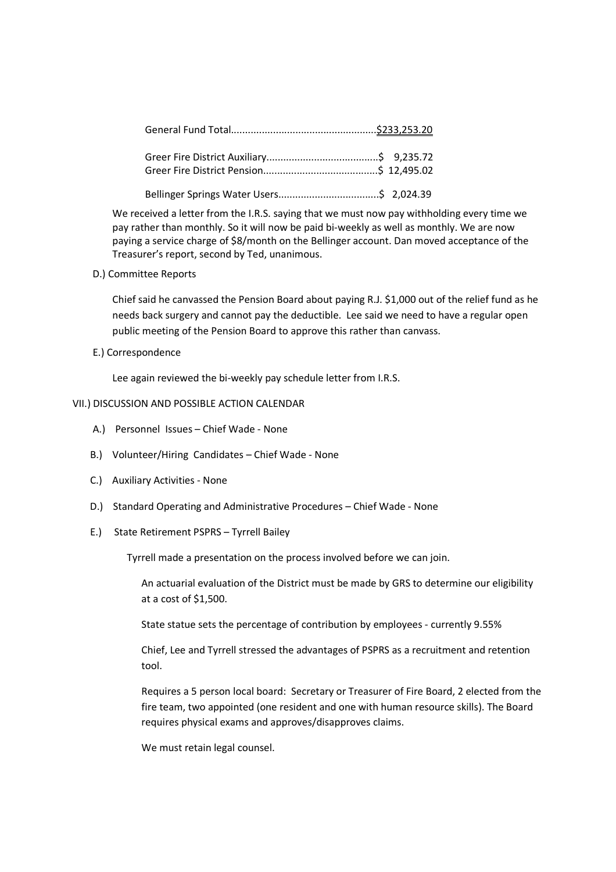We received a letter from the I.R.S. saying that we must now pay withholding every time we pay rather than monthly. So it will now be paid bi-weekly as well as monthly. We are now paying a service charge of \$8/month on the Bellinger account. Dan moved acceptance of the Treasurer's report, second by Ted, unanimous.

D.) Committee Reports

Chief said he canvassed the Pension Board about paying R.J. \$1,000 out of the relief fund as he needs back surgery and cannot pay the deductible. Lee said we need to have a regular open public meeting of the Pension Board to approve this rather than canvass.

E.) Correspondence

Lee again reviewed the bi-weekly pay schedule letter from I.R.S.

# VII.) DISCUSSION AND POSSIBLE ACTION CALENDAR

- A.) Personnel Issues Chief Wade None
- B.) Volunteer/Hiring Candidates Chief Wade None
- C.) Auxiliary Activities None
- D.) Standard Operating and Administrative Procedures Chief Wade None
- E.) State Retirement PSPRS Tyrrell Bailey

Tyrrell made a presentation on the process involved before we can join.

An actuarial evaluation of the District must be made by GRS to determine our eligibility at a cost of \$1,500.

State statue sets the percentage of contribution by employees - currently 9.55%

Chief, Lee and Tyrrell stressed the advantages of PSPRS as a recruitment and retention tool.

Requires a 5 person local board: Secretary or Treasurer of Fire Board, 2 elected from the fire team, two appointed (one resident and one with human resource skills). The Board requires physical exams and approves/disapproves claims.

We must retain legal counsel.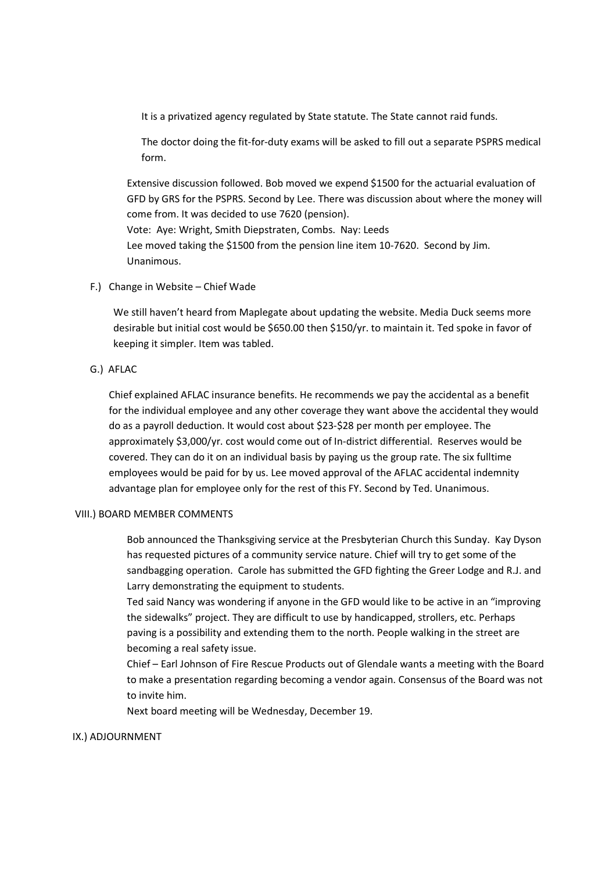It is a privatized agency regulated by State statute. The State cannot raid funds.

The doctor doing the fit-for-duty exams will be asked to fill out a separate PSPRS medical form.

Extensive discussion followed. Bob moved we expend \$1500 for the actuarial evaluation of GFD by GRS for the PSPRS. Second by Lee. There was discussion about where the money will come from. It was decided to use 7620 (pension). Vote: Aye: Wright, Smith Diepstraten, Combs. Nay: Leeds Lee moved taking the \$1500 from the pension line item 10-7620. Second by Jim. Unanimous.

F.) Change in Website – Chief Wade

We still haven't heard from Maplegate about updating the website. Media Duck seems more desirable but initial cost would be \$650.00 then \$150/yr. to maintain it. Ted spoke in favor of keeping it simpler. Item was tabled.

G.) AFLAC

Chief explained AFLAC insurance benefits. He recommends we pay the accidental as a benefit for the individual employee and any other coverage they want above the accidental they would do as a payroll deduction. It would cost about \$23-\$28 per month per employee. The approximately \$3,000/yr. cost would come out of In-district differential. Reserves would be covered. They can do it on an individual basis by paying us the group rate. The six fulltime employees would be paid for by us. Lee moved approval of the AFLAC accidental indemnity advantage plan for employee only for the rest of this FY. Second by Ted. Unanimous.

## VIII.) BOARD MEMBER COMMENTS

Bob announced the Thanksgiving service at the Presbyterian Church this Sunday. Kay Dyson has requested pictures of a community service nature. Chief will try to get some of the sandbagging operation. Carole has submitted the GFD fighting the Greer Lodge and R.J. and Larry demonstrating the equipment to students.

Ted said Nancy was wondering if anyone in the GFD would like to be active in an "improving the sidewalks" project. They are difficult to use by handicapped, strollers, etc. Perhaps paving is a possibility and extending them to the north. People walking in the street are becoming a real safety issue.

Chief – Earl Johnson of Fire Rescue Products out of Glendale wants a meeting with the Board to make a presentation regarding becoming a vendor again. Consensus of the Board was not to invite him.

Next board meeting will be Wednesday, December 19.

## IX.) ADJOURNMENT